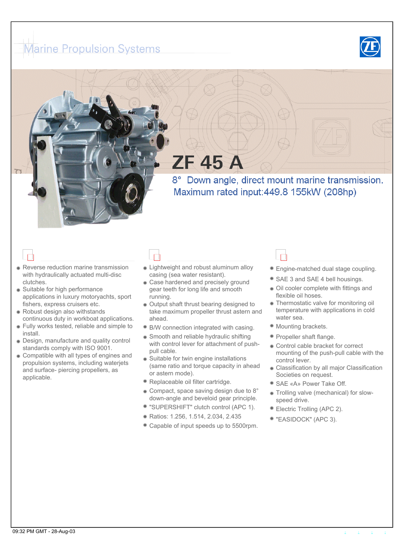## <span id="page-0-2"></span><span id="page-0-1"></span><span id="page-0-0"></span>**Marine Propulsion Systems**



# **ZF 45 A**

8° Down angle, direct mount marine transmission. Maximum rated input: 449.8 155kW (208hp)

- **Reverse reduction marine transmission** with hydraulically actuated multi-disc clutches.
- Suitable for high performance applications in luxury motoryachts, sport fishers, express cruisers etc.
- Robust design also withstands continuous duty in workboat applications.
- Fully works tested, reliable and simple to install.
- Design, manufacture and quality control standards comply with ISO 9001.
- Compatible with all types of engines and propulsion systems, including waterjets and surface- piercing propellers, as applicable.

- **Lightweight and robust aluminum alloy** casing (sea water resistant).
- **Case hardened and precisely ground** gear teeth for long life and smooth running.
- Output shaft thrust bearing designed to take maximum propeller thrust astern and ahead.
- B/W connection integrated with casing.
- Smooth and reliable hydraulic shifting with control lever for attachment of pushpull cable.
- Suitable for twin engine installations (same ratio and torque capacity in ahead or astern mode).
- Replaceable oil filter cartridge.
- Compact, space saving design due to 8° down-angle and beveloid gear principle.
- "SUPERSHIFT" clutch control (APC 1).
- Ratios: 1.256, 1.514, 2.034, 2.435
- Capable of input speeds up to 5500rpm.

#### **Engine-matched dual stage coupling.**

- SAE 3 and SAE 4 bell housings.
- Oil cooler complete with fittings and flexible oil hoses.
- **Thermostatic valve for monitoring oil** temperature with applications in cold water sea.
- $\bullet$  Mounting brackets.
- **Propeller shaft flange.**
- Control cable bracket for correct mounting of the push-pull cable with the control lever.
- **Classification by all major Classification** Societies on request.
- SAE «A» Power Take Off.
- Trolling valve (mechanical) for slowspeed drive.
- Electric Trolling (APC 2).
- "EASIDOCK" (APC 3).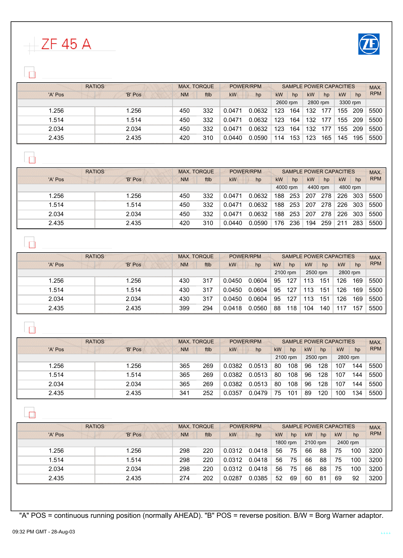

<span id="page-1-2"></span><span id="page-1-1"></span><span id="page-1-0"></span> $ZF45A$ 

| <b>RATIOS</b> |         |           | <b>MAX. TORQUE</b> |        | POWER/RPM |          |     | SAMPLE POWER CAPACITIES |     |           |     | MAX.       |
|---------------|---------|-----------|--------------------|--------|-----------|----------|-----|-------------------------|-----|-----------|-----|------------|
| 'A' Pos       | 'B' Pos | <b>NM</b> | ftlb               | kW     | hp        | kW       | hp  | <b>kW</b>               | hp  | <b>kW</b> | hp  | <b>RPM</b> |
|               |         |           |                    |        |           | 2600 rpm |     | 2800 rpm                |     | 3300 rpm  |     |            |
| .256          | 1.256   | 450       | 332                | 0.0471 | 0.0632    | 123      | 164 | 132                     | 177 | 155       | 209 | 5500       |
| 1.514         | 1.514   | 450       | 332                | 0.0471 | 0.0632    | 123      | 164 | 132                     | 177 | 155       | 209 | 5500       |
| 2.034         | 2.034   | 450       | 332                | 0.0471 | 0.0632    | 123      | 164 | 132                     | 177 | 155       | 209 | 5500       |
| 2.435         | 2.435   | 420       | 310                | 0.0440 | 0.0590    | 114      | 153 | 123                     | 165 | 145       | 195 | 5500       |

 $\Box$ 

| <b>RATIOS</b> |         |           | <b>MAX. TORQUE</b><br>POWER/RPM |        |        |     | <b>SAMPLE POWER CAPACITIES</b> | MAX. |          |          |     |            |
|---------------|---------|-----------|---------------------------------|--------|--------|-----|--------------------------------|------|----------|----------|-----|------------|
| 'A' Pos       | 'B' Pos | <b>NM</b> | ftlb                            | kW     | hp     | kW  | hp                             | kW   | hp       | kW       | hp  | <b>RPM</b> |
|               |         |           |                                 |        |        |     | 4000 rpm                       |      | 4400 rpm | 4800 rpm |     |            |
| 1.256         | .256    | 450       | 332                             | 0.0471 | 0.0632 | 188 | 253                            | 207  | 278      | 226      | 303 | 5500       |
| 1.514         | .514    | 450       | 332                             | 0.0471 | 0.0632 | 188 | 253                            | 207  | 278      | 226      | 303 | 5500       |
| 2.034         | 2.034   | 450       | 332                             | 0.0471 | 0.0632 | 188 | 253                            | 207  | 278      | 226      | 303 | 5500       |
| 2.435         | 2.435   | 420       | 310                             | 0.0440 | 0.0590 | 76  | 236                            | 194  | 259      | 211      | 283 | 5500       |

| <b>RATIOS</b> |         |           | <b>MAX. TORQUE</b><br>POWER/RPM |           |        | <b>SAMPLE POWER CAPACITIES</b> |          |          |     |          |     | MAX.       |
|---------------|---------|-----------|---------------------------------|-----------|--------|--------------------------------|----------|----------|-----|----------|-----|------------|
| 'A' Pos       | 'B' Pos | <b>NM</b> | ftlb                            | <b>kW</b> | hp     | kW                             | hp       | kW       | hp  | kW       | hp  | <b>RPM</b> |
|               |         |           |                                 |           |        |                                | 2100 rpm | 2500 rpm |     | 2800 rpm |     |            |
| 1.256         | .256    | 430       | 317                             | 0.0450    | 0.0604 | 95                             | 127      | 113      | 151 | 126      | 169 | 5500       |
| 1.514         | 1.514   | 430       | 317                             | 0.0450    | 0.0604 | 95                             | 127      | 113      | 151 | 126      | 169 | 5500       |
| 2.034         | 2.034   | 430       | 317                             | 0.0450    | 0.0604 | 95                             | 127      | 113      | 151 | 126      | 169 | 5500       |
| 2.435         | 2.435   | 399       | 294                             | 0.0418    | 0.0560 | 88                             | 118      | 104      | 140 |          | 157 | 5500       |

 $\Box$ 

| <b>RATIOS</b> |         |           | <b>MAX. TORQUE</b><br>POWER/RPM |           |        | SAMPLE POWER CAPACITIES | MAX.     |    |          |          |     |            |
|---------------|---------|-----------|---------------------------------|-----------|--------|-------------------------|----------|----|----------|----------|-----|------------|
| 'A' Pos       | 'B' Pos | <b>NM</b> | ftlb                            | <b>kW</b> | hp     | kW                      | hp       | kW | hp       | kW       | hp  | <b>RPM</b> |
|               |         |           |                                 |           |        |                         | 2100 rpm |    | 2500 rpm | 2800 rpm |     |            |
| 1.256         | 1.256   | 365       | 269                             | 0.0382    | 0.0513 | 80                      | 108      | 96 | 128      | 107      | 144 | 5500       |
| 1.514         | 1.514   | 365       | 269                             | 0.0382    | 0.0513 | 80                      | 108      | 96 | 128      | 107      | 144 | 5500       |
| 2.034         | 2.034   | 365       | 269                             | 0.0382    | 0.0513 | 80                      | 108      | 96 | 128      | 107      | 144 | 5500       |
| 2.435         | 2.435   | 341       | 252                             | 0.0357    | 0.0479 | 75                      | 101      | 89 | 120      | 100      | 134 | 5500       |

 $\Box$ 

| <b>RATIOS</b> |         |           | <b>MAX. TORQUE</b><br>POWER/RPM |        |        | SAMPLE POWER CAPACITIES |          |           |    |           |          | <b>MAX</b> |
|---------------|---------|-----------|---------------------------------|--------|--------|-------------------------|----------|-----------|----|-----------|----------|------------|
| 'A' Pos       | 'B' Pos | <b>NM</b> | ftlb                            | kW     | hp     | kW                      | hp       | <b>kW</b> | hp | <b>kW</b> | hp       | <b>RPM</b> |
|               |         |           |                                 |        |        |                         | 1800 rpm | 2100 rpm  |    |           | 2400 rpm |            |
| 1.256         | 1.256   | 298       | 220                             | 0.0312 | 0.0418 | 56                      | 75       | 66        | 88 | 75        | 100      | 3200       |
| 1.514         | .514    | 298       | 220                             | 0.0312 | 0.0418 | 56                      | 75       | 66        | 88 | 75        | 100      | 3200       |
| 2.034         | 2.034   | 298       | 220                             | 0.0312 | 0.0418 | 56                      | 75       | 66        | 88 | 75        | 100      | 3200       |
| 2.435         | 2.435   | 274       | 202                             | 0.0287 | 0.0385 | 52                      | 69       | 60        | 81 | 69        | 92       | 3200       |

"A" POS = continuous running position (normally AHEAD). "B" POS = reverse position. B/W = Borg Warner adaptor.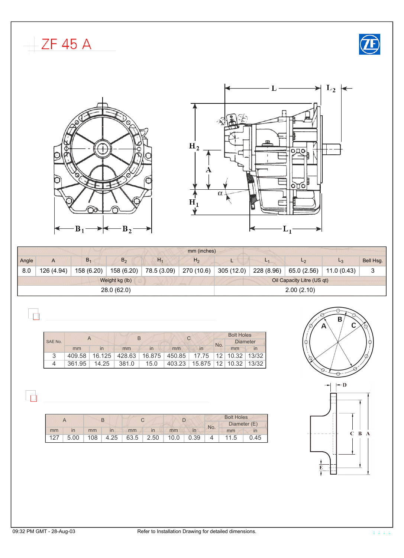<span id="page-2-2"></span><span id="page-2-1"></span><span id="page-2-0"></span>